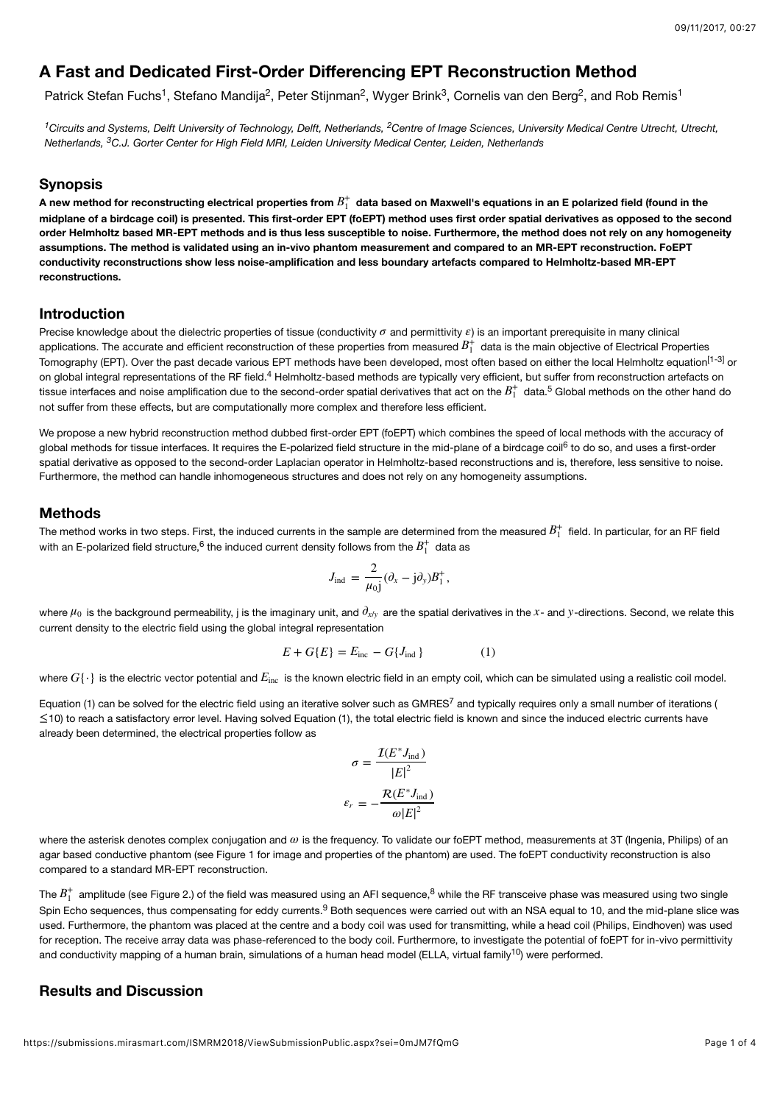# **A Fast and Dedicated First-Order Differencing EPT Reconstruction Method**

Patrick Stefan Fuchs<sup>1</sup>, Stefano Mandija<sup>2</sup>, Peter Stijnman<sup>2</sup>, Wyger Brink<sup>3</sup>, Cornelis van den Berg<sup>2</sup>, and Rob Remis<sup>1</sup>

<sup>1</sup> Circuits and Systems, Delft University of Technology, Delft, Netherlands, <sup>2</sup> Centre of Image Sciences, University Medical Centre Utrecht, Utrecht, *Netherlands, C.J. Gorter Center for High Field MRI, Leiden University Medical Center, Leiden, Netherlands 3*

#### **Synopsis**

A new method for reconstructing electrical properties from  $B_1^+$  data based on Maxwell's equations in an E polarized field (found in the **midplane of a birdcage coil) is presented. This first-order EPT (foEPT) method uses first order spatial derivatives as opposed to the second order Helmholtz based MR-EPT methods and is thus less susceptible to noise. Furthermore, the method does not rely on any homogeneity assumptions. The method is validated using an in-vivo phantom measurement and compared to an MR-EPT reconstruction. FoEPT conductivity reconstructions show less noise-amplification and less boundary artefacts compared to Helmholtz-based MR-EPT reconstructions.**

#### **Introduction**

Precise knowledge about the dielectric properties of tissue (conductivity  $\sigma$  and permittivity  $\varepsilon$ ) is an important prerequisite in many clinical applications. The accurate and efficient reconstruction of these properties from measured  $B_1^+$  data is the main objective of Electrical Properties Tomography (EPT). Over the past decade various EPT methods have been developed, most often based on either the local Helmholtz equation<sup>[1-3]</sup> or on global integral representations of the RF field.<sup>4</sup> Helmholtz-based methods are typically very efficient, but suffer from reconstruction artefacts on tissue interfaces and noise amplification due to the second-order spatial derivatives that act on the  $B_1^+$  data.<sup>5</sup> Global methods on the other hand do not suffer from these effects, but are computationally more complex and therefore less efficient.

We propose a new hybrid reconstruction method dubbed first-order EPT (foEPT) which combines the speed of local methods with the accuracy of global methods for tissue interfaces. It requires the E-polarized field structure in the mid-plane of a birdcage coil<sup>6</sup> to do so, and uses a first-order spatial derivative as opposed to the second-order Laplacian operator in Helmholtz-based reconstructions and is, therefore, less sensitive to noise. Furthermore, the method can handle inhomogeneous structures and does not rely on any homogeneity assumptions.

#### **Methods**

The method works in two steps. First, the induced currents in the sample are determined from the measured  $B_1^+$  field. In particular, for an RF field with an E-polarized field structure,<sup>6</sup> the induced current density follows from the  $B_{1}^{+}\,$  data as

$$
J_{\rm ind} = \frac{2}{\mu_{0}j} (\partial_x - j \partial_y) B_1^+,
$$

where  $\mu_0$  is the background permeability, j is the imaginary unit, and  $\partial_{x/y}$  are the spatial derivatives in the x- and y-directions. Second, we relate this current density to the electric field using the global integral representation

$$
E + G\{E\} = E_{\text{inc}} - G\{J_{\text{ind}}\}
$$
 (1)

where  $G\{\cdot\}$  is the electric vector potential and  $E_{\rm inc}$  is the known electric field in an empty coil, which can be simulated using a realistic coil model.

Equation (1) can be solved for the electric field using an iterative solver such as GMRES<sup>7</sup> and typically requires only a small number of iterations (  $\le$ 10) to reach a satisfactory error level. Having solved Equation (1), the total electric field is known and since the induced electric currents have already been determined, the electrical properties follow as

$$
\sigma = \frac{\mathcal{I}(E^* J_{\text{ind}})}{|E|^2}
$$

$$
\varepsilon_r = -\frac{\mathcal{R}(E^* J_{\text{ind}})}{\omega |E|^2}
$$

where the asterisk denotes complex conjugation and  $ω$  is the frequency. To validate our foEPT method, measurements at 3T (Ingenia, Philips) of an agar based conductive phantom (see Figure 1 for image and properties of the phantom) are used. The foEPT conductivity reconstruction is also compared to a standard MR-EPT reconstruction.

The  $B_1^+$  amplitude (see Figure 2.) of the field was measured using an AFI sequence,<sup>8</sup> while the RF transceive phase was measured using two single Spin Echo sequences, thus compensating for eddy currents.<sup>9</sup> Both sequences were carried out with an NSA equal to 10, and the mid-plane slice was used. Furthermore, the phantom was placed at the centre and a body coil was used for transmitting, while a head coil (Philips, Eindhoven) was used for reception. The receive array data was phase-referenced to the body coil. Furthermore, to investigate the potential of foEPT for in-vivo permittivity and conductivity mapping of a human brain, simulations of a human head model (ELLA, virtual family<sup>10</sup>) were performed.

# **Results and Discussion**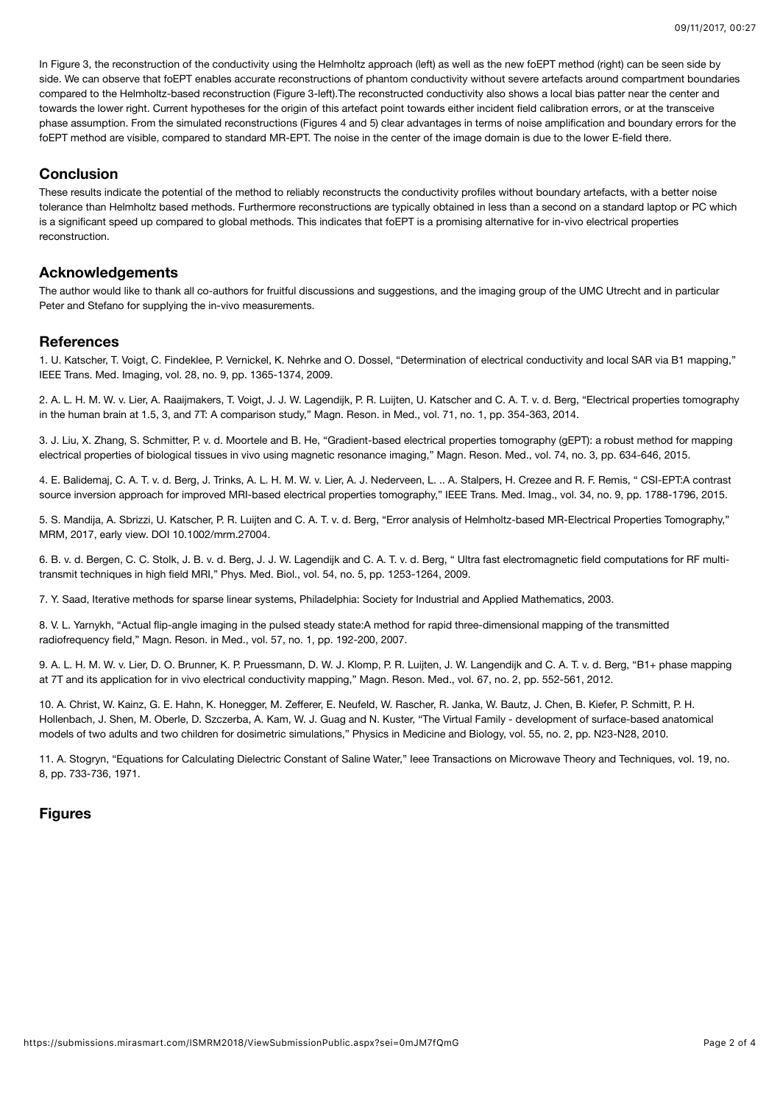In Figure 3, the reconstruction of the conductivity using the Helmholtz approach (left) as well as the new foEPT method (right) can be seen side by side. We can observe that foEPT enables accurate reconstructions of phantom conductivity without severe artefacts around compartment boundaries compared to the Helmholtz-based reconstruction (Figure 3-left).The reconstructed conductivity also shows a local bias patter near the center and towards the lower right. Current hypotheses for the origin of this artefact point towards either incident field calibration errors, or at the transceive phase assumption. From the simulated reconstructions (Figures 4 and 5) clear advantages in terms of noise amplification and boundary errors for the foEPT method are visible, compared to standard MR-EPT. The noise in the center of the image domain is due to the lower E-field there.

# **Conclusion**

These results indicate the potential of the method to reliably reconstructs the conductivity profiles without boundary artefacts, with a better noise tolerance than Helmholtz based methods. Furthermore reconstructions are typically obtained in less than a second on a standard laptop or PC which is a significant speed up compared to global methods. This indicates that foEPT is a promising alternative for in-vivo electrical properties reconstruction.

## **Acknowledgements**

The author would like to thank all co-authors for fruitful discussions and suggestions, and the imaging group of the UMC Utrecht and in particular Peter and Stefano for supplying the in-vivo measurements.

## **References**

1. U. Katscher, T. Voigt, C. Findeklee, P. Vernickel, K. Nehrke and O. Dossel, "Determination of electrical conductivity and local SAR via B1 mapping," IEEE Trans. Med. Imaging, vol. 28, no. 9, pp. 1365-1374, 2009.

2. A. L. H. M. W. v. Lier, A. Raaijmakers, T. Voigt, J. J. W. Lagendijk, P. R. Luijten, U. Katscher and C. A. T. v. d. Berg, "Electrical properties tomography in the human brain at 1.5, 3, and 7T: A comparison study," Magn. Reson. in Med., vol. 71, no. 1, pp. 354-363, 2014.

3. J. Liu, X. Zhang, S. Schmitter, P. v. d. Moortele and B. He, "Gradient-based electrical properties tomography (gEPT): a robust method for mapping electrical properties of biological tissues in vivo using magnetic resonance imaging," Magn. Reson. Med., vol. 74, no. 3, pp. 634-646, 2015.

4. E. Balidemaj, C. A. T. v. d. Berg, J. Trinks, A. L. H. M. W. v. Lier, A. J. Nederveen, L. .. A. Stalpers, H. Crezee and R. F. Remis, " CSI-EPT:A contrast source inversion approach for improved MRI-based electrical properties tomography," IEEE Trans. Med. Imag., vol. 34, no. 9, pp. 1788-1796, 2015.

5. S. Mandija, A. Sbrizzi, U. Katscher, P. R. Luijten and C. A. T. v. d. Berg, "Error analysis of Helmholtz-based MR-Electrical Properties Tomography," MRM, 2017, early view. DOI 10.1002/mrm.27004.

6. B. v. d. Bergen, C. C. Stolk, J. B. v. d. Berg, J. J. W. Lagendijk and C. A. T. v. d. Berg, " Ultra fast electromagnetic field computations for RF multitransmit techniques in high field MRI," Phys. Med. Biol., vol. 54, no. 5, pp. 1253-1264, 2009.

7. Y. Saad, Iterative methods for sparse linear systems, Philadelphia: Society for Industrial and Applied Mathematics, 2003.

8. V. L. Yarnykh, "Actual flip-angle imaging in the pulsed steady state:A method for rapid three-dimensional mapping of the transmitted radiofrequency field," Magn. Reson. in Med., vol. 57, no. 1, pp. 192-200, 2007.

9. A. L. H. M. W. v. Lier, D. O. Brunner, K. P. Pruessmann, D. W. J. Klomp, P. R. Luijten, J. W. Langendijk and C. A. T. v. d. Berg, "B1+ phase mapping at 7T and its application for in vivo electrical conductivity mapping," Magn. Reson. Med., vol. 67, no. 2, pp. 552-561, 2012.

10. A. Christ, W. Kainz, G. E. Hahn, K. Honegger, M. Zefferer, E. Neufeld, W. Rascher, R. Janka, W. Bautz, J. Chen, B. Kiefer, P. Schmitt, P. H. Hollenbach, J. Shen, M. Oberle, D. Szczerba, A. Kam, W. J. Guag and N. Kuster, "The Virtual Family - development of surface-based anatomical models of two adults and two children for dosimetric simulations," Physics in Medicine and Biology, vol. 55, no. 2, pp. N23-N28, 2010.

11. A. Stogryn, "Equations for Calculating Dielectric Constant of Saline Water," Ieee Transactions on Microwave Theory and Techniques, vol. 19, no. 8, pp. 733-736, 1971.

# **Figures**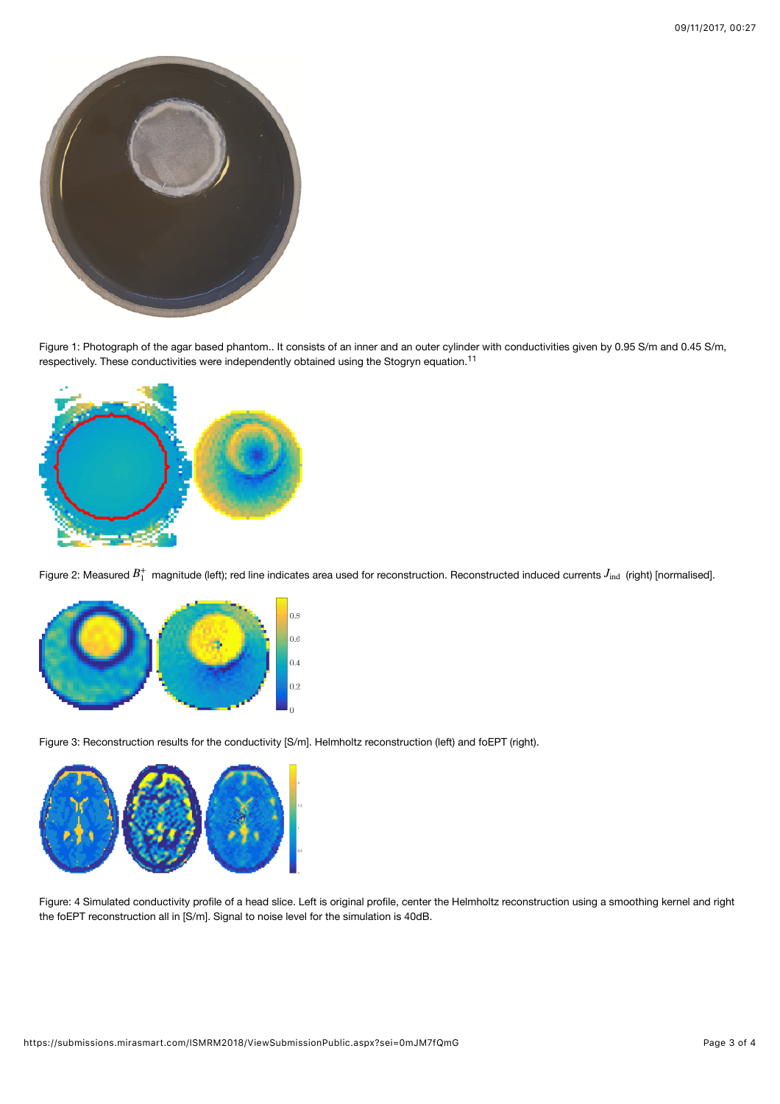

Figure 1: Photograph of the agar based phantom.. It consists of an inner and an outer cylinder with conductivities given by 0.95 S/m and 0.45 S/m, respectively. These conductivities were independently obtained using the Stogryn equation.<sup>11</sup>



Figure 2: Measured  $B_1^+$  magnitude (left); red line indicates area used for reconstruction. Reconstructed induced currents  $J_{\rm ind}$  (right) [normalised].



Figure 3: Reconstruction results for the conductivity [S/m]. Helmholtz reconstruction (left) and foEPT (right).



Figure: 4 Simulated conductivity profile of a head slice. Left is original profile, center the Helmholtz reconstruction using a smoothing kernel and right the foEPT reconstruction all in [S/m]. Signal to noise level for the simulation is 40dB.